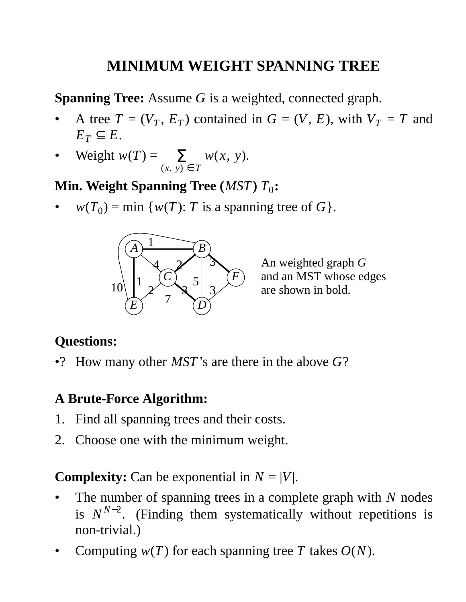# **MINIMUM WEIGHT SPANNING TREE**

**Spanning Tree:** Assume *G* is a weighted, connected graph.

- A tree  $T = (V_T, E_T)$  contained in  $G = (V, E)$ , with  $V_T = T$  and  $E_T \subseteq E$ .
- Weight  $w(T) =$ (*x*, *y*) ∈ *T*  $\sum_{x} w(x, y)$ .

# **Min. Weight Spanning Tree** (*MST*)  $T_0$ :

•  $w(T_0) = \min \{w(T): T \text{ is a spanning tree of } G\}.$ 



An weighted graph *G* and an MST whose edges are shown in bold.

# **Questions:**

•? How many other *MST*'s are there in the above *G*?

#### **A Brute-Force Algorithm:**

- 1. Find all spanning trees and their costs.
- 2. Choose one with the minimum weight.

**Complexity:** Can be exponential in  $N = |V|$ .

- The number of spanning trees in a complete graph with *N* nodes is  $N^{N-2}$ . (Finding them systematically without repetitions is non-trivial.)
- Computing  $w(T)$  for each spanning tree *T* takes  $O(N)$ .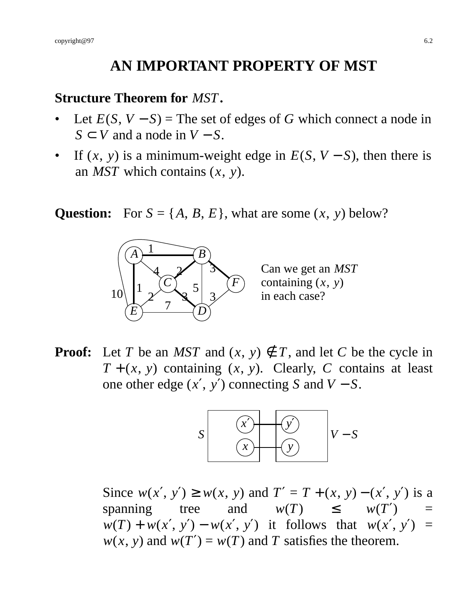# **AN IMPORTANT PROPERTY OF MST**

#### **Structure Theorem for** *MST***.**

- Let  $E(S, V S)$  = The set of edges of *G* which connect a node in  $S \subset V$  and a node in  $V - S$ .
- If  $(x, y)$  is a minimum-weight edge in  $E(S, V S)$ , then there is an *MST* which contains (*x*, *y*).

**Question:** For  $S = \{A, B, E\}$ , what are some  $(x, y)$  below?



Can we get an *MST* containing (*x*, *y*) in each case?

**Proof:** Let *T* be an *MST* and  $(x, y) \notin T$ , and let *C* be the cycle in  $T + (x, y)$  containing  $(x, y)$ . Clearly, *C* contains at least one other edge  $(x', y')$  connecting *S* and  $V - S$ .



Since  $w(x', y') \geq w(x, y)$  and  $T' = T + (x, y) - (x', y')$  is a spanning tree and  $w(T) \leq w(T') =$  $w(T) + w(x', y') - w(x', y')$  it follows that  $w(x', y') =$  $w(x, y)$  and  $w(T') = w(T)$  and *T* satisfies the theorem.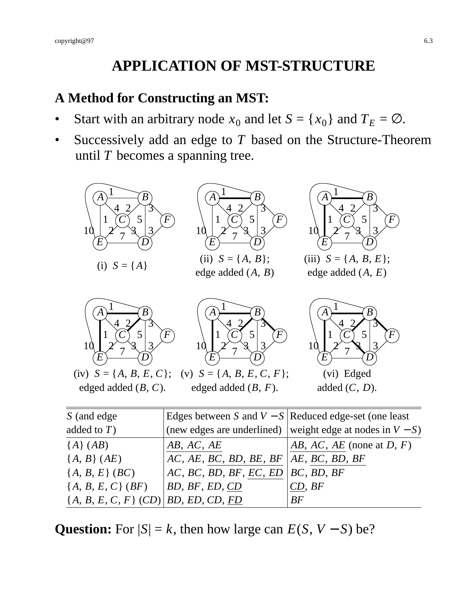# **APPLICATION OF MST-STRUCTURE**

#### **A Method for Constructing an MST:**

- Start with an arbitrary node  $x_0$  and let  $S = \{x_0\}$  and  $T_E = \emptyset$ .
- Successively add an edge to *T* based on the Structure-Theorem until *T* becomes a spanning tree.



| auteuro $I$ )                             |                                           | (fiew edges are underfined) weight edge at hours in $v = s$ ) |
|-------------------------------------------|-------------------------------------------|---------------------------------------------------------------|
| ${A} (AB)$                                | AB, AC, AE                                | $AB, AC, AE$ (none at D, F)                                   |
| ${A, B}(AE)$                              | $AC, AE, BC, BD, BE, BF   AE, BC, BD, BF$ |                                                               |
| ${A, B, E} (BC)$                          | AC, BC, BD, BF, EC, ED   BC, BD, BF       |                                                               |
| ${A, B, E, C} (BF)$                       | $\vert BD, BF, ED, CD \vert$              | CD, BF                                                        |
| $\{A, B, E, C, F\}$ (CD)   BD, ED, CD, FD |                                           | BF                                                            |

**Question:** For  $|S| = k$ , then how large can  $E(S, V - S)$  be?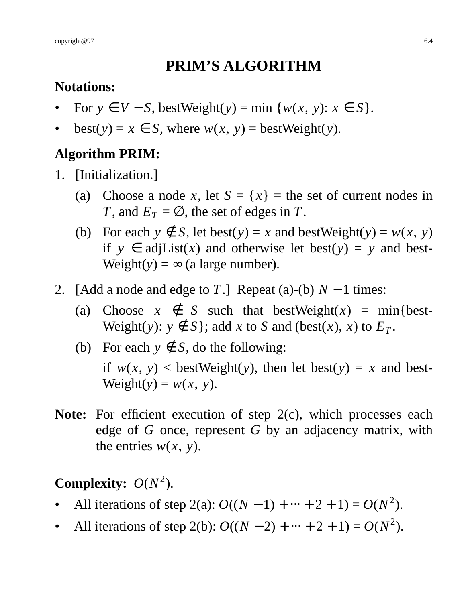#### **PRIM'S ALGORITHM**

#### **Notations:**

- For  $y \in V S$ , bestWeight(*y*) = min { $w(x, y)$ :  $x \in S$  }.
- $best(y) = x \in S$ , where  $w(x, y) = bestWeight(y)$ .

# **Algorithm PRIM:**

- 1. [Initialization.]
	- (a) Choose a node *x*, let  $S = \{x\}$  = the set of current nodes in *T*, and  $E_T = \emptyset$ , the set of edges in *T*.
	- (b) For each  $y \notin S$ , let best( $y$ ) = *x* and bestWeight( $y$ ) =  $w(x, y)$ if  $y \in adjList(x)$  and otherwise let best( $y$ ) =  $y$  and best- $Weight(y) = \infty$  (a large number).
- 2. [Add a node and edge to *T*.] Repeat (a)-(b)  $N 1$  times:
	- (a) Choose  $x \notin S$  such that bestWeight(x) = min{best-Weight(*y*):  $y \notin S$ }; add *x* to *S* and (best(*x*), *x*) to  $E_T$ .
	- (b) For each  $y \notin S$ , do the following: if  $w(x, y)$  < bestWeight(*y*), then let best(*y*) = *x* and best- $Weight(y) = w(x, y)$ .
- **Note:** For efficient execution of step 2(c), which processes each edge of *G* once, represent *G* by an adjacency matrix, with the entries  $w(x, y)$ .

# **Complexity:**  $O(N^2)$ .

- All iterations of step 2(a):  $O((N-1) + \dots + 2 + 1) = O(N^2)$ .
- All iterations of step 2(b):  $O((N-2) + \dots + 2 + 1) = O(N^2)$ .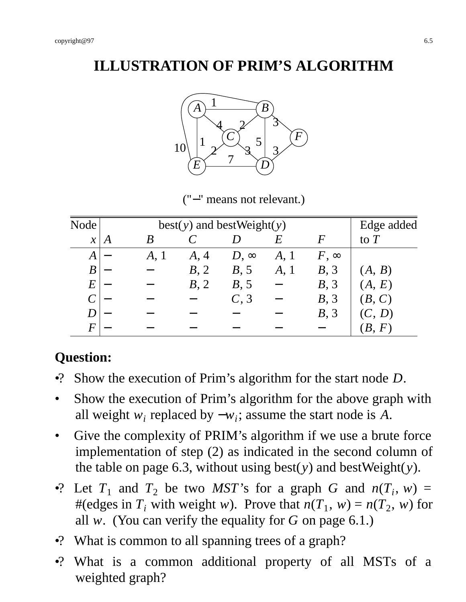# **ILLUSTRATION OF PRIM'S ALGORITHM**



("−" means not relevant.)

| Node          |   |      |      | $best(y)$ and bestWeight(y) |      |             | Edge added |
|---------------|---|------|------|-----------------------------|------|-------------|------------|
| $\mathcal{X}$ | A |      |      |                             | E    | $\bm{F}$    | to $T$     |
| A             |   | A, I | A, 4 | $D, \infty$                 | A, 1 | $F, \infty$ |            |
| B             |   |      | B, 2 | B, 5                        | A, 1 | B, 3        | (A, B)     |
| E             |   |      | B, 2 | B, 5                        |      | B, 3        | (A, E)     |
|               |   |      |      | C, 3                        |      | B, 3        | (B, C)     |
|               |   |      |      |                             |      | B, 3        | (C, D)     |
| $\bm{F}$      |   |      |      |                             |      |             | B.<br>F    |

#### **Question:**

- •? Show the execution of Prim's algorithm for the start node *D*.
- Show the execution of Prim's algorithm for the above graph with all weight  $w_i$  replaced by  $-w_i$ ; assume the start node is *A*.
- Give the complexity of PRIM's algorithm if we use a brute force implementation of step (2) as indicated in the second column of the table on page 6.3, without using best(*y*) and bestWeight(*y*).
- •? Let  $T_1$  and  $T_2$  be two *MST*'s for a graph *G* and  $n(T_i, w) =$ #(edges in  $T_i$  with weight *w*). Prove that  $n(T_1, w) = n(T_2, w)$  for all *w*. (You can verify the equality for *G* on page 6.1.)
- •? What is common to all spanning trees of a graph?
- •? What is a common additional property of all MSTs of a weighted graph?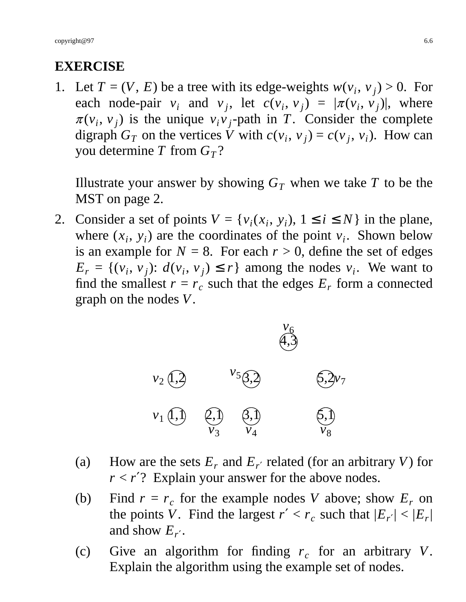# **EXERCISE**

1. Let  $T = (V, E)$  be a tree with its edge-weights  $w(v_i, v_j) > 0$ . For each node-pair  $v_i$  and  $v_j$ , let  $c(v_i, v_j) = |\pi(v_i, v_j)|$ , where  $\pi(v_i, v_j)$  is the unique  $v_i v_j$ -path in *T*. Consider the complete digraph  $G_T$  on the vertices *V* with  $c(v_i, v_j) = c(v_j, v_i)$ . How can you determine *T* from  $G_T$ ?

Illustrate your answer by showing  $G_T$  when we take  $T$  to be the MST on page 2.

2. Consider a set of points  $V = \{v_i(x_i, y_i), 1 \le i \le N\}$  in the plane, where  $(x_i, y_i)$  are the coordinates of the point  $v_i$ . Shown below is an example for  $N = 8$ . For each  $r > 0$ , define the set of edges  $E_r = \{(v_i, v_j): d(v_i, v_j) \le r\}$  among the nodes  $v_i$ . We want to find the smallest  $r = r_c$  such that the edges  $E_r$  form a connected graph on the nodes *V*.



- (a) How are the sets  $E_r$  and  $E_{r'}$  related (for an arbitrary *V*) for  $r < r$ <sup>'</sup>? Explain your answer for the above nodes.
- (b) Find  $r = r_c$  for the example nodes *V* above; show  $E_r$  on the points *V*. Find the largest  $r' < r_c$  such that  $|E_{r'}| < |E_r|$ | and show  $E_{r'}$ .
- (c) Give an algorithm for finding  $r_c$  for an arbitrary *V*. Explain the algorithm using the example set of nodes.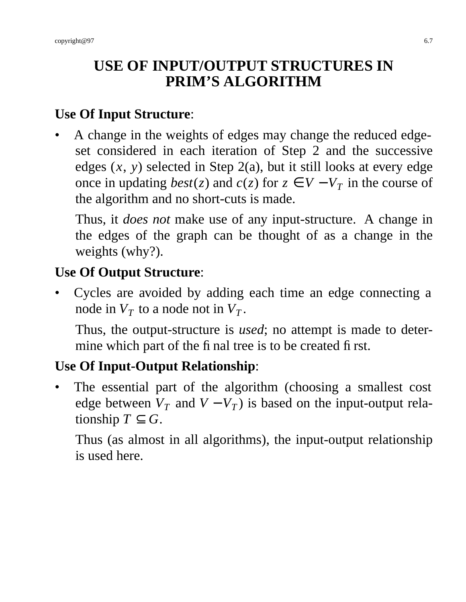# **USE OF INPUT/OUTPUT STRUCTURES IN PRIM'S ALGORITHM**

#### **Use Of Input Structure**:

• A change in the weights of edges may change the reduced edgeset considered in each iteration of Step 2 and the successive edges  $(x, y)$  selected in Step 2(a), but it still looks at every edge once in updating *best*(*z*) and *c*(*z*) for *z* ∈ *V* − *V<sub>T</sub>* in the course of the algorithm and no short-cuts is made.

Thus, it *does not* make use of any input-structure. A change in the edges of the graph can be thought of as a change in the weights (why?).

# **Use Of Output Structure**:

• Cycles are avoided by adding each time an edge connecting a node in  $V_T$  to a node not in  $V_T$ .

Thus, the output-structure is *used*; no attempt is made to determine which part of the final tree is to be created first.

# **Use Of Input-Output Relationship**:

The essential part of the algorithm (choosing a smallest cost edge between  $V_T$  and  $V - V_T$ ) is based on the input-output relationship  $T \subseteq G$ .

Thus (as almost in all algorithms), the input-output relationship is used here.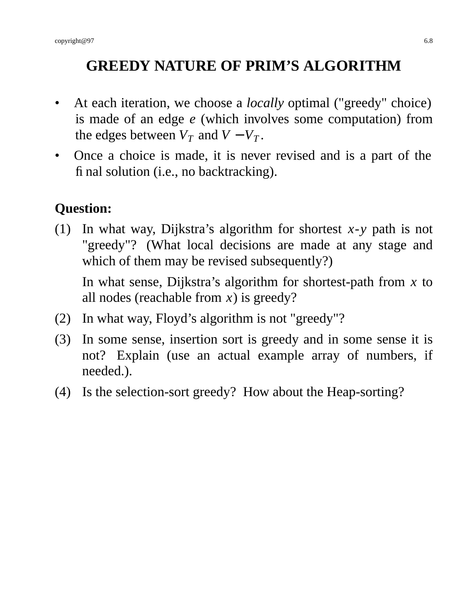# **GREEDY NATURE OF PRIM'S ALGORITHM**

- At each iteration, we choose a *locally* optimal ("greedy" choice) is made of an edge *e* (which involves some computation) from the edges between  $V_T$  and  $V - V_T$ .
- Once a choice is made, it is never revised and is a part of the final solution (i.e., no backtracking).

# **Question:**

(1) In what way, Dijkstra's algorithm for shortest *x*-*y* path is not "greedy"? (What local decisions are made at any stage and which of them may be revised subsequently?)

In what sense, Dijkstra's algorithm for shortest-path from *x* to all nodes (reachable from *x*) is greedy?

- (2) In what way, Floyd's algorithm is not "greedy"?
- (3) In some sense, insertion sort is greedy and in some sense it is not? Explain (use an actual example array of numbers, if needed.).
- (4) Is the selection-sort greedy? How about the Heap-sorting?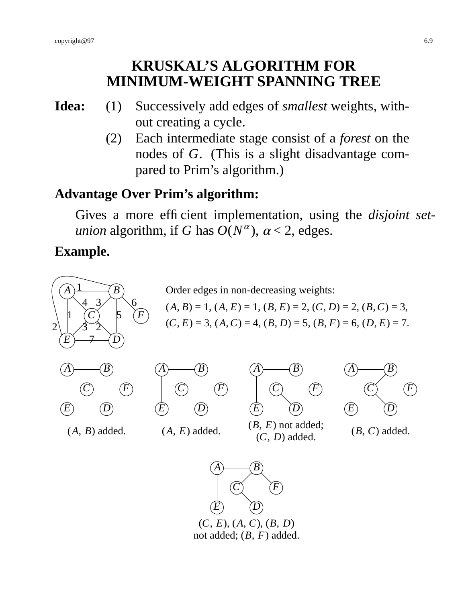#### **KRUSKAL'S ALGORITHM FOR MINIMUM-WEIGHT SPANNING TREE**

- **Idea:** (1) Successively add edges of *smallest* weights, without creating a cycle.
	- (2) Each intermediate stage consist of a *forest* on the nodes of *G*. (This is a slight disadvantage compared to Prim's algorithm.)

#### **Advantage Over Prim's algorithm:**

Gives a more efficient implementation, using the *disjoint setunion* algorithm, if *G* has  $O(N^{\alpha})$ ,  $\alpha$  < 2, edges.

#### **Example.**



(*C*, *E*), (*A*, *C*), (*B*, *D*) not added; (*B*, *F*) added.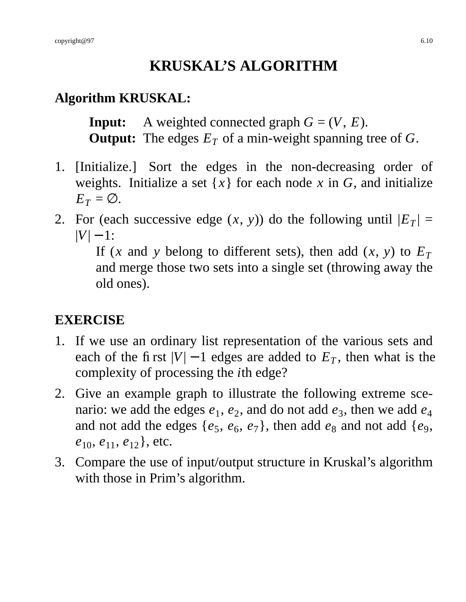# **KRUSKAL'S ALGORITHM**

## **Algorithm KRUSKAL:**

**Input:** A weighted connected graph  $G = (V, E)$ . **Output:** The edges  $E_T$  of a min-weight spanning tree of G.

- 1. [Initialize.] Sort the edges in the non-decreasing order of weights. Initialize a set  $\{x\}$  for each node x in G, and initialize  $E_T = \emptyset$ .
- 2. For (each successive edge  $(x, y)$ ) do the following until  $|E_T| =$  $|V| - 1$ :

If (*x* and *y* belong to different sets), then add (*x*, *y*) to  $E_T$ and merge those two sets into a single set (throwing away the old ones).

# **EXERCISE**

- 1. If we use an ordinary list representation of the various sets and each of the first  $|V| - 1$  edges are added to  $E_T$ , then what is the complexity of processing the *i*th edge?
- 2. Give an example graph to illustrate the following extreme scenario: we add the edges  $e_1$ ,  $e_2$ , and do not add  $e_3$ , then we add  $e_4$ and not add the edges  $\{e_5, e_6, e_7\}$ , then add  $e_8$  and not add  $\{e_9, e_9\}$ *e*10, *e*11, *e*12}, etc.
- 3. Compare the use of input/output structure in Kruskal's algorithm with those in Prim's algorithm.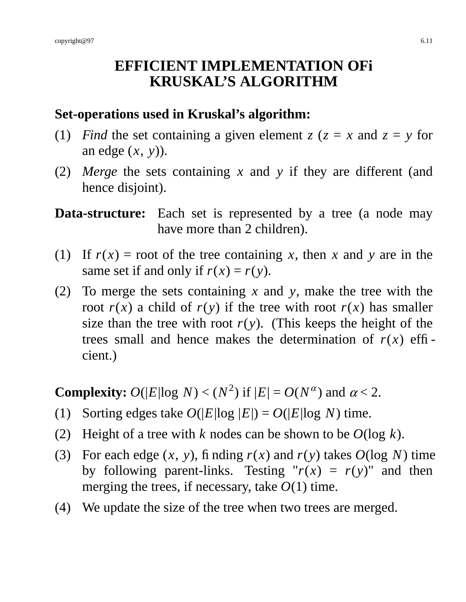#### **EFFICIENT IMPLEMENTATION OFi KRUSKAL'S ALGORITHM**

#### **Set-operations used in Kruskal's algorithm:**

- (1) *Find* the set containing a given element  $z (z = x$  and  $z = y$  for an edge (*x*, *y*)).
- (2) *Merge* the sets containing *x* and *y* if they are different (and hence disjoint).

**Data-structure:** Each set is represented by a tree (a node may have more than 2 children).

- (1) If  $r(x) =$  root of the tree containing *x*, then *x* and *y* are in the same set if and only if  $r(x) = r(y)$ .
- (2) To merge the sets containing *x* and *y*, make the tree with the root  $r(x)$  a child of  $r(y)$  if the tree with root  $r(x)$  has smaller size than the tree with root  $r(y)$ . (This keeps the height of the trees small and hence makes the determination of  $r(x)$  efficient.)

**Complexity:**  $O(|E| \log N) < (N^2)$  if  $|E| = O(N^{\alpha})$  and  $\alpha < 2$ .

- (1) Sorting edges take  $O(|E| \log |E|) = O(|E| \log N)$  time.
- (2) Height of a tree with *k* nodes can be shown to be *O*(log *k*).
- (3) For each edge  $(x, y)$ , finding  $r(x)$  and  $r(y)$  takes  $O(\log N)$  time by following parent-links. Testing " $r(x) = r(y)$ " and then merging the trees, if necessary, take *O*(1) time.
- (4) We update the size of the tree when two trees are merged.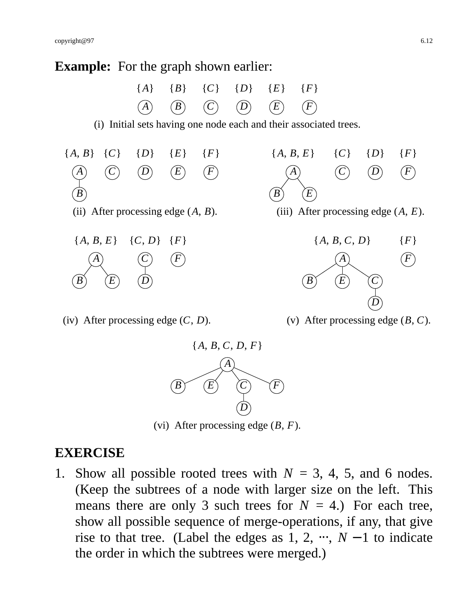#### **Example:** For the graph shown earlier:



(iv) After processing edge (*C*, *D*).





(vi) After processing edge (*B*, *F*).

#### **EXERCISE**

1. Show all possible rooted trees with  $N = 3, 4, 5$ , and 6 nodes. (Keep the subtrees of a node with larger size on the left. This means there are only 3 such trees for  $N = 4$ .) For each tree, show all possible sequence of merge-operations, if any, that give rise to that tree. (Label the edges as  $1, 2, \dots, N-1$  to indicate the order in which the subtrees were merged.)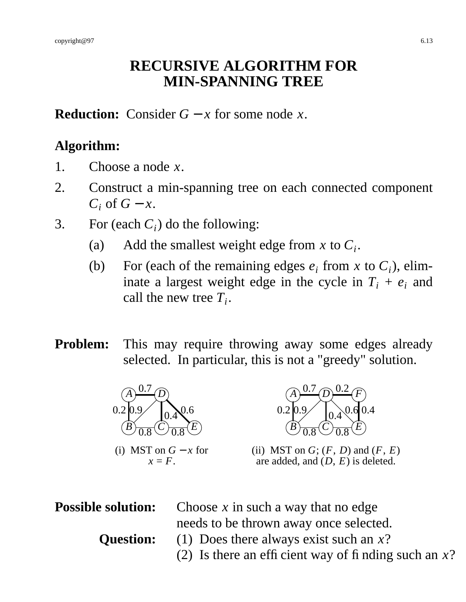#### **RECURSIVE ALGORITHM FOR MIN-SPANNING TREE**

**Reduction:** Consider  $G - x$  for some node *x*.

#### **Algorithm:**

- 1. Choose a node *x*.
- 2. Construct a min-spanning tree on each connected component  $C_i$  of  $G - x$ .
- 3. For (each  $C_i$ ) do the following:
	- (a) Add the smallest weight edge from  $x$  to  $C_i$ .
	- (b) For (each of the remaining edges  $e_i$  from *x* to  $C_i$ ), eliminate a largest weight edge in the cycle in  $T_i + e_i$  and call the new tree *T<sup>i</sup>* .
- **Problem:** This may require throwing away some edges already selected. In particular, this is not a "greedy" solution.



 $x = F$ .



(ii) MST on  $G$ ;  $(F, D)$  and  $(F, E)$ are added, and (*D*, *E*) is deleted.

**Possible solution:** Choose *x* in such a way that no edge needs to be thrown away once selected. **Question:** (1) Does there always exist such an *x*? (2) Is there an efficient way of finding such an *x*?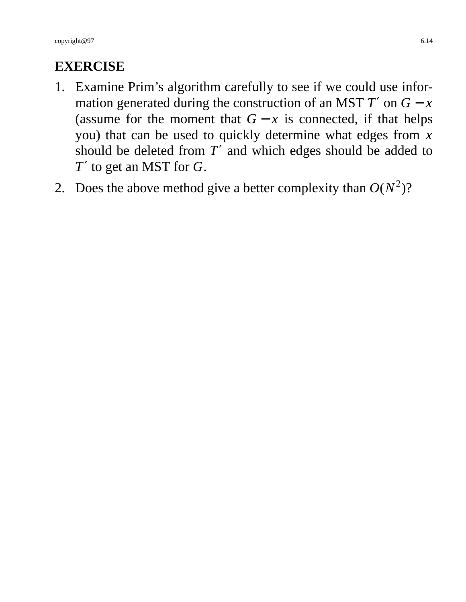#### **EXERCISE**

- 1. Examine Prim's algorithm carefully to see if we could use information generated during the construction of an MST  $T'$  on  $G - x$ (assume for the moment that  $G - x$  is connected, if that helps you) that can be used to quickly determine what edges from *x* should be deleted from *T*′ and which edges should be added to *T*′ to get an MST for *G*.
- 2. Does the above method give a better complexity than  $O(N^2)$ ?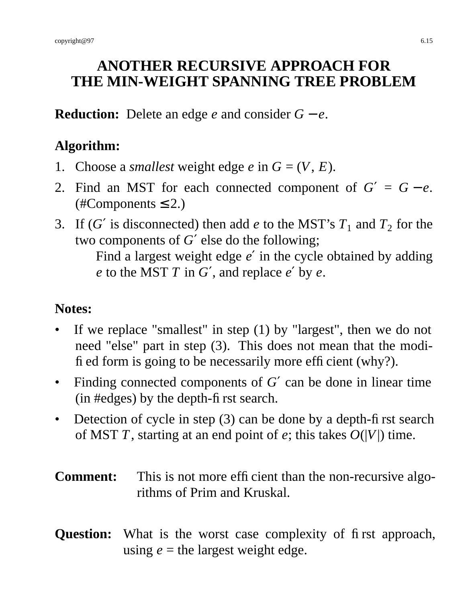# **ANOTHER RECURSIVE APPROACH FOR THE MIN-WEIGHT SPANNING TREE PROBLEM**

**Reduction:** Delete an edge *e* and consider *G* − *e*.

# **Algorithm:**

- 1. Choose a *smallest* weight edge *e* in  $G = (V, E)$ .
- 2. Find an MST for each connected component of  $G' = G e$ .  $(\text{\#Components} \leq 2.)$
- 3. If (*G'* is disconnected) then add *e* to the MST's  $T_1$  and  $T_2$  for the two components of *G*′ else do the following;

Find a largest weight edge *e* ′ in the cycle obtained by adding *e* to the MST *T* in *G*′, and replace *e* ′ by *e*.

#### **Notes:**

- If we replace "smallest" in step  $(1)$  by "largest", then we do not need "else" part in step (3). This does not mean that the modified form is going to be necessarily more efficient (why?).
- Finding connected components of *G*′ can be done in linear time (in #edges) by the depth-first search.
- Detection of cycle in step  $(3)$  can be done by a depth-first search of MST *T*, starting at an end point of *e*; this takes  $O(|V|)$  time.
- **Comment:** This is not more efficient than the non-recursive algorithms of Prim and Kruskal.

#### **Question:** What is the worst case complexity of first approach, using  $e$  = the largest weight edge.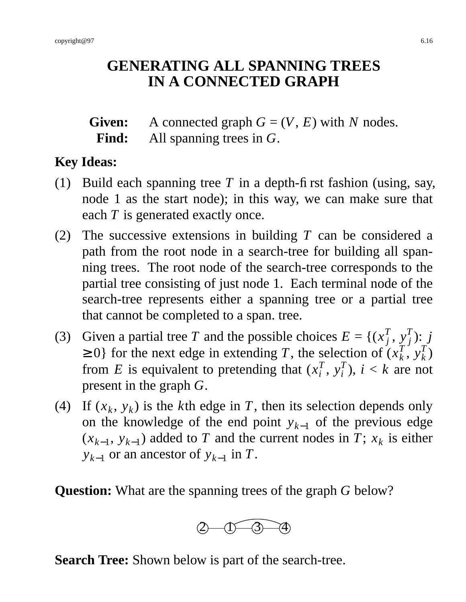# **GENERATING ALL SPANNING TREES IN A CONNECTED GRAPH**

**Given:** A connected graph  $G = (V, E)$  with *N* nodes. **Find:** All spanning trees in *G*.

#### **Key Ideas:**

- (1) Build each spanning tree *T* in a depth-first fashion (using, say, node 1 as the start node); in this way, we can make sure that each *T* is generated exactly once.
- (2) The successive extensions in building *T* can be considered a path from the root node in a search-tree for building all spanning trees. The root node of the search-tree corresponds to the partial tree consisting of just node 1. Each terminal node of the search-tree represents either a spanning tree or a partial tree that cannot be completed to a span. tree.
- (3) Given a partial tree *T* and the possible choices  $E = \{(x_i^T)$  $\int_j^T$ ,  $y_j^T$ *j* ): *j*  $\geq 0$ } for the next edge in extending *T*, the selection of  $(x_k^T)$  $\int_k^{\tau}$ ,  $y_k^T$ *k* ) from *E* is equivalent to pretending that  $(x_i^T)$  $_i^T$ ,  $y_i^T$  $\binom{I}{i}$ ,  $i < k$  are not present in the graph *G*.
- (4) If  $(x_k, y_k)$  is the *k*th edge in *T*, then its selection depends only on the knowledge of the end point  $y_{k-1}$  of the previous edge  $(x_{k-1}, y_{k-1})$  added to *T* and the current nodes in *T*;  $x_k$  is either  $y_{k-1}$  or an ancestor of  $y_{k-1}$  in *T*.

**Question:** What are the spanning trees of the graph *G* below?



**Search Tree:** Shown below is part of the search-tree.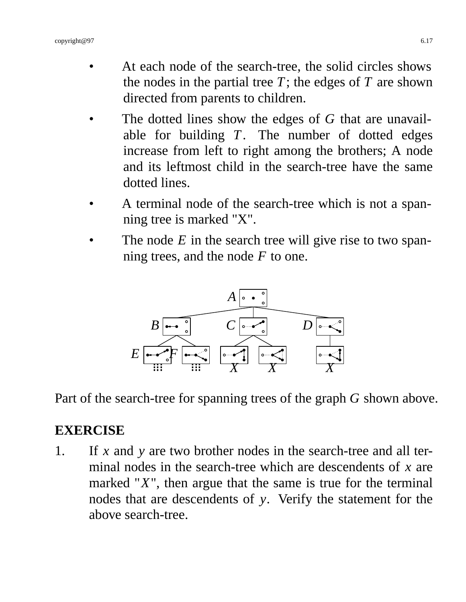- At each node of the search-tree, the solid circles shows the nodes in the partial tree  $T$ ; the edges of  $T$  are shown directed from parents to children.
- The dotted lines show the edges of *G* that are unavailable for building *T*. The number of dotted edges increase from left to right among the brothers; A node and its leftmost child in the search-tree have the same dotted lines.
- A terminal node of the search-tree which is not a spanning tree is marked "X".
- The node  $E$  in the search tree will give rise to two spanning trees, and the node *F* to one.



Part of the search-tree for spanning trees of the graph *G* shown above.

#### **EXERCISE**

1. If *x* and *y* are two brother nodes in the search-tree and all terminal nodes in the search-tree which are descendents of *x* are marked " $X$ ", then argue that the same is true for the terminal nodes that are descendents of *y*. Verify the statement for the above search-tree.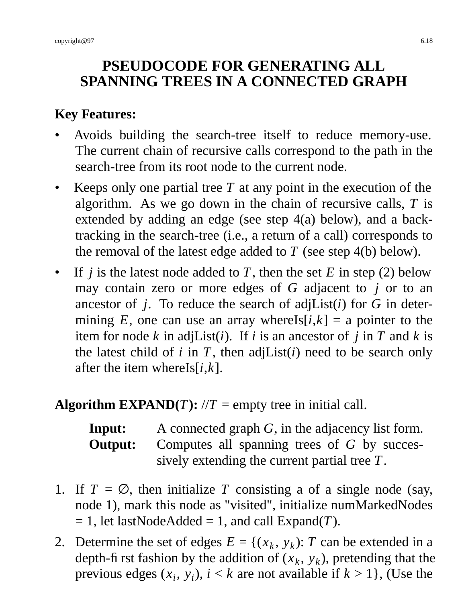# **PSEUDOCODE FOR GENERATING ALL SPANNING TREES IN A CONNECTED GRAPH**

# **Key Features:**

- Avoids building the search-tree itself to reduce memory-use. The current chain of recursive calls correspond to the path in the search-tree from its root node to the current node.
- Keeps only one partial tree  $T$  at any point in the execution of the algorithm. As we go down in the chain of recursive calls, *T* is extended by adding an edge (see step 4(a) below), and a backtracking in the search-tree (i.e., a return of a call) corresponds to the removal of the latest edge added to *T* (see step 4(b) below).
- If *j* is the latest node added to *T*, then the set *E* in step (2) below may contain zero or more edges of *G* adjacent to *j* or to an ancestor of  $j$ . To reduce the search of adjList( $i$ ) for  $G$  in determining *E*, one can use an array whereIs $[i, k] = a$  pointer to the item for node  $k$  in adjList( $i$ ). If  $i$  is an ancestor of  $j$  in  $T$  and  $k$  is the latest child of  $i$  in  $T$ , then adjList( $i$ ) need to be search only after the item whereIs[*i*,*k*].

#### **Algorithm EXPAND(***T***):**  $\forall T$  = empty tree in initial call.

| Input:  | A connected graph $G$ , in the adjacency list form. |
|---------|-----------------------------------------------------|
| Output: | Computes all spanning trees of $G$ by succes-       |
|         | sively extending the current partial tree $T$ .     |

- 1. If  $T = \emptyset$ , then initialize *T* consisting a of a single node (say, node 1), mark this node as "visited", initialize numMarkedNodes  $= 1$ , let lastNodeAdded  $= 1$ , and call Expand(*T*).
- 2. Determine the set of edges  $E = \{(x_k, y_k): T \text{ can be extended in a } \}$ depth-first fashion by the addition of  $(x_k, y_k)$ , pretending that the previous edges  $(x_i, y_i)$ ,  $i < k$  are not available if  $k > 1$ , (Use the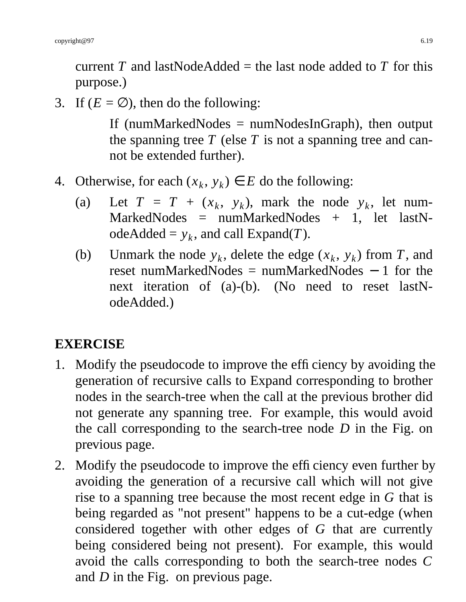current *T* and lastNodeAdded = the last node added to *T* for this purpose.)

3. If  $(E = \emptyset)$ , then do the following:

If (numMarkedNodes = numNodesInGraph), then output the spanning tree  $T$  (else  $T$  is not a spanning tree and cannot be extended further).

- 4. Otherwise, for each  $(x_k, y_k) \in E$  do the following:
	- (a) Let  $T = T + (x_k, y_k)$ , mark the node  $y_k$ , let num- $MarketNodes = numMarketNodes + 1, let lastN$  $odeAded = y_k$ , and call  $Expand(T)$ .
	- (b) Unmark the node  $y_k$ , delete the edge  $(x_k, y_k)$  from *T*, and reset numMarkedNodes = numMarkedNodes − 1 for the next iteration of (a)-(b). (No need to reset lastNodeAdded.)

#### **EXERCISE**

- 1. Modify the pseudocode to improve the efficiency by avoiding the generation of recursive calls to Expand corresponding to brother nodes in the search-tree when the call at the previous brother did not generate any spanning tree. For example, this would avoid the call corresponding to the search-tree node *D* in the Fig. on previous page.
- 2. Modify the pseudocode to improve the efficiency even further by avoiding the generation of a recursive call which will not give rise to a spanning tree because the most recent edge in *G* that is being regarded as "not present" happens to be a cut-edge (when considered together with other edges of *G* that are currently being considered being not present). For example, this would avoid the calls corresponding to both the search-tree nodes *C* and *D* in the Fig. on previous page.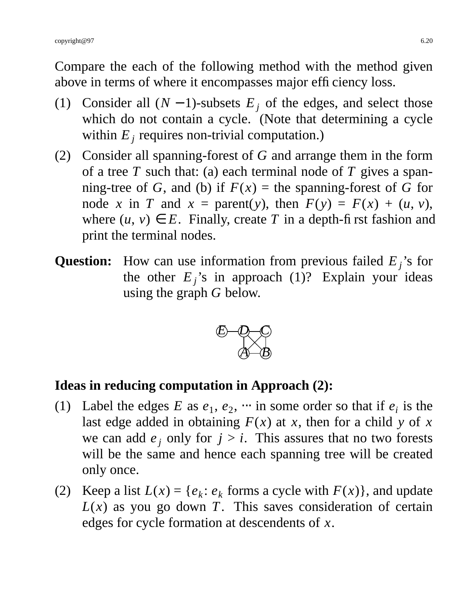Compare the each of the following method with the method given above in terms of where it encompasses major efficiency loss.

- (1) Consider all  $(N 1)$ -subsets  $E_i$  of the edges, and select those which do not contain a cycle. (Note that determining a cycle within  $E_j$  requires non-trivial computation.)
- (2) Consider all spanning-forest of *G* and arrange them in the form of a tree  $T$  such that: (a) each terminal node of  $T$  gives a spanning-tree of *G*, and (b) if  $F(x)$  = the spanning-forest of *G* for node *x* in *T* and  $x =$  parent(*y*), then  $F(y) = F(x) + (u, v)$ , where  $(u, v) \in E$ . Finally, create *T* in a depth-first fashion and print the terminal nodes.
- **Question:** How can use information from previous failed *E <sup>j</sup>* 's for the other  $E_j$ 's in approach (1)? Explain your ideas using the graph *G* below.



#### **Ideas in reducing computation in Approach (2):**

- (1) Label the edges *E* as  $e_1$ ,  $e_2$ ,  $\cdots$  in some order so that if  $e_i$  is the last edge added in obtaining  $F(x)$  at *x*, then for a child *y* of *x* we can add  $e_i$  only for  $j > i$ . This assures that no two forests will be the same and hence each spanning tree will be created only once.
- (2) Keep a list  $L(x) = \{e_k : e_k \text{ forms a cycle with } F(x) \}$ , and update  $L(x)$  as you go down *T*. This saves consideration of certain edges for cycle formation at descendents of *x*.